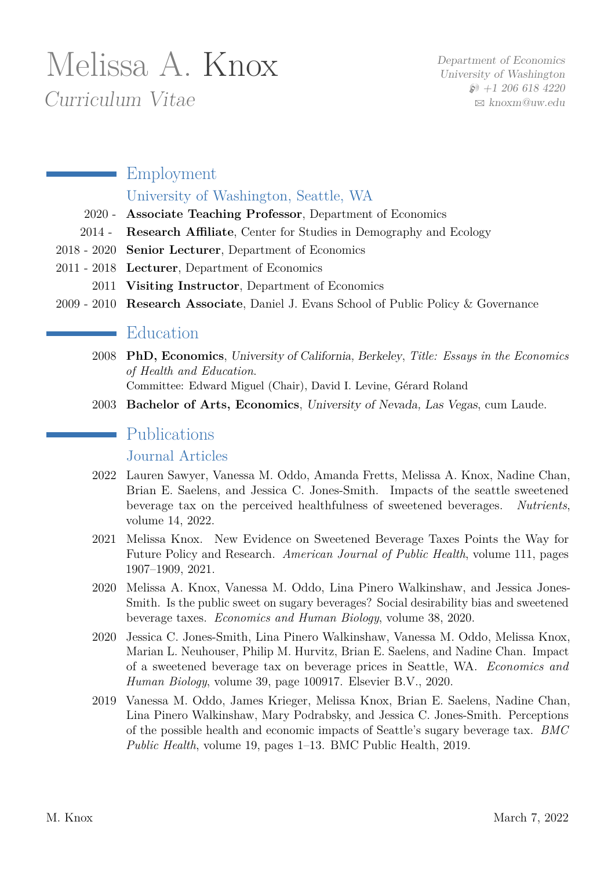# Melissa A. Knox Curriculum Vitae

# **Employment** University of Washington, Seattle, WA

- 2020 **Associate Teaching Professor**, Department of Economics
- 2014 **Research Affiliate**, Center for Studies in Demography and Ecology
- 2018 2020 **Senior Lecturer**, Department of Economics
- 2011 2018 **Lecturer**, Department of Economics
	- 2011 **Visiting Instructor**, Department of Economics
- 2009 2010 **Research Associate**, Daniel J. Evans School of Public Policy & Governance

## Education

2008 **PhD, Economics**, University of California, Berkeley, *Title: Essays in the Economics of Health and Education*.

Committee: Edward Miguel (Chair), David I. Levine, Gérard Roland

2003 **Bachelor of Arts, Economics**, University of Nevada, Las Vegas, cum Laude.

## **Publications**

Journal Articles

- 2022 Lauren Sawyer, Vanessa M. Oddo, Amanda Fretts, Melissa A. Knox, Nadine Chan, Brian E. Saelens, and Jessica C. Jones-Smith. Impacts of the seattle sweetened beverage tax on the perceived healthfulness of sweetened beverages. *Nutrients*, volume 14, 2022.
- 2021 Melissa Knox. New Evidence on Sweetened Beverage Taxes Points the Way for Future Policy and Research. *American Journal of Public Health*, volume 111, pages 1907–1909, 2021.
- 2020 Melissa A. Knox, Vanessa M. Oddo, Lina Pinero Walkinshaw, and Jessica Jones-Smith. Is the public sweet on sugary beverages? Social desirability bias and sweetened beverage taxes. *Economics and Human Biology*, volume 38, 2020.
- 2020 Jessica C. Jones-Smith, Lina Pinero Walkinshaw, Vanessa M. Oddo, Melissa Knox, Marian L. Neuhouser, Philip M. Hurvitz, Brian E. Saelens, and Nadine Chan. Impact of a sweetened beverage tax on beverage prices in Seattle, WA. *Economics and Human Biology*, volume 39, page 100917. Elsevier B.V., 2020.
- 2019 Vanessa M. Oddo, James Krieger, Melissa Knox, Brian E. Saelens, Nadine Chan, Lina Pinero Walkinshaw, Mary Podrabsky, and Jessica C. Jones-Smith. Perceptions of the possible health and economic impacts of Seattle's sugary beverage tax. *BMC Public Health*, volume 19, pages 1–13. BMC Public Health, 2019.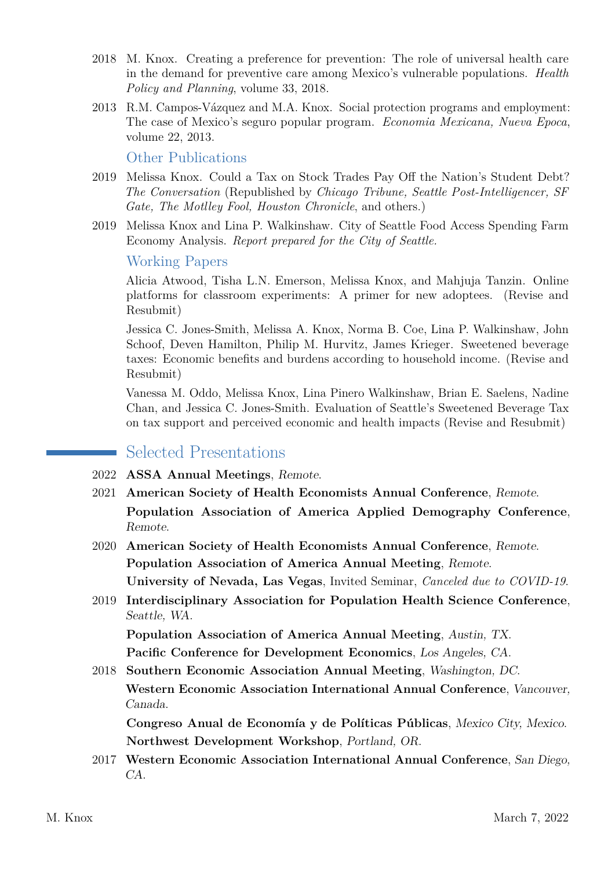- 2018 M. Knox. Creating a preference for prevention: The role of universal health care in the demand for preventive care among Mexico's vulnerable populations. *Health Policy and Planning*, volume 33, 2018.
- 2013 R.M. Campos-Vázquez and M.A. Knox. Social protection programs and employment: The case of Mexico's seguro popular program. *Economia Mexicana, Nueva Epoca*, volume 22, 2013.

Other Publications

- 2019 Melissa Knox. Could a Tax on Stock Trades Pay Off the Nation's Student Debt? *The Conversation* (Republished by *Chicago Tribune, Seattle Post-Intelligencer, SF Gate, The Motlley Fool, Houston Chronicle*, and others.)
- 2019 Melissa Knox and Lina P. Walkinshaw. City of Seattle Food Access Spending Farm Economy Analysis. *Report prepared for the City of Seattle.*

#### Working Papers

Alicia Atwood, Tisha L.N. Emerson, Melissa Knox, and Mahjuja Tanzin. Online platforms for classroom experiments: A primer for new adoptees. (Revise and Resubmit)

Jessica C. Jones-Smith, Melissa A. Knox, Norma B. Coe, Lina P. Walkinshaw, John Schoof, Deven Hamilton, Philip M. Hurvitz, James Krieger. Sweetened beverage taxes: Economic benefits and burdens according to household income. (Revise and Resubmit)

Vanessa M. Oddo, Melissa Knox, Lina Pinero Walkinshaw, Brian E. Saelens, Nadine Chan, and Jessica C. Jones-Smith. Evaluation of Seattle's Sweetened Beverage Tax on tax support and perceived economic and health impacts (Revise and Resubmit)

### Selected Presentations

- 2022 **ASSA Annual Meetings**, Remote.
- 2021 **American Society of Health Economists Annual Conference**, Remote. **Population Association of America Applied Demography Conference**, Remote.
- 2020 **American Society of Health Economists Annual Conference**, Remote. **Population Association of America Annual Meeting**, Remote. **University of Nevada, Las Vegas**, Invited Seminar, *Canceled due to COVID-19*.
- 2019 **Interdisciplinary Association for Population Health Science Conference**, Seattle, WA.

**Population Association of America Annual Meeting**, Austin, TX. **Pacific Conference for Development Economics**, Los Angeles, CA.

2018 **Southern Economic Association Annual Meeting**, Washington, DC. **Western Economic Association International Annual Conference**, Vancouver,

**Congreso Anual de Economía y de Políticas Públicas**, Mexico City, Mexico. **Northwest Development Workshop**, Portland, OR.

2017 **Western Economic Association International Annual Conference**, San Diego, CA.

Canada.